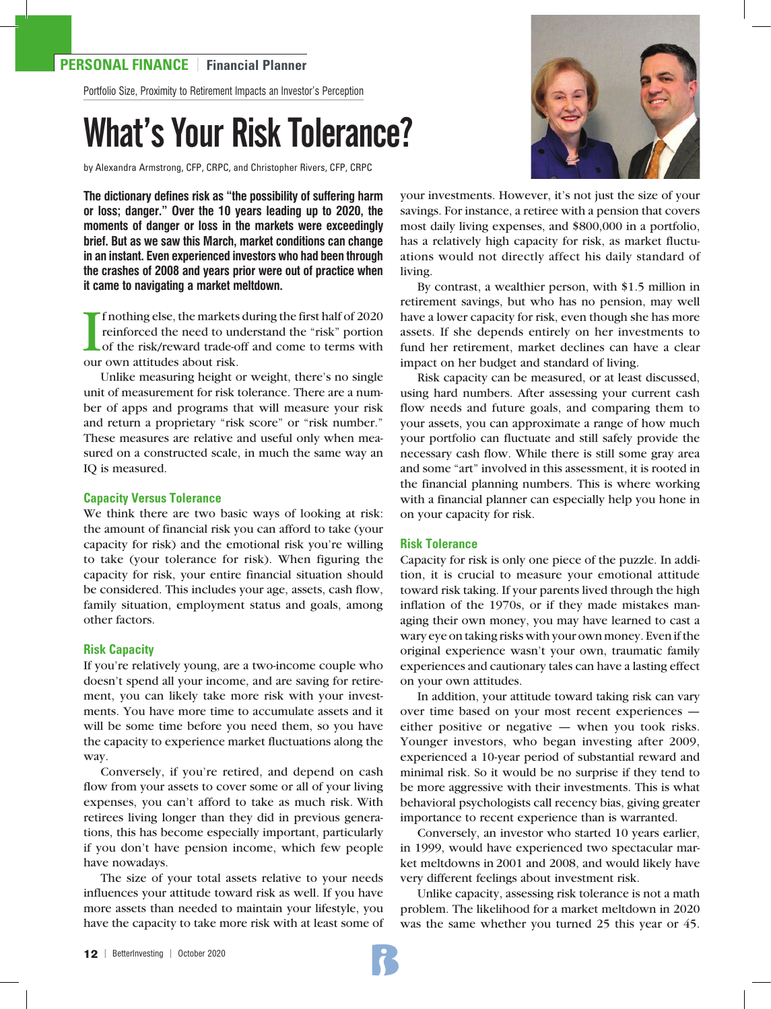# **PERSONAL FINANCE** | **Financial Planner**

Portfolio Size, Proximity to Retirement Impacts an Investor's Perception

# What's Your Risk Tolerance?

by Alexandra Armstrong, CFP, CRPC, and Christopher Rivers, CFP, CRPC

**The dictionary defines risk as "the possibility of suffering harm or loss; danger." Over the 10 years leading up to 2020, the moments of danger or loss in the markets were exceedingly brief. But as we saw this March, market conditions can change in an instant. Even experienced investors who had been through the crashes of 2008 and years prior were out of practice when it came to navigating a market meltdown.** 

If nothing else, the markets<br>reinforced the need to une<br>of the risk/reward trade-or<br>our own attitudes about risk. f nothing else, the markets during the first half of 2020 reinforced the need to understand the "risk" portion of the risk/reward trade-off and come to terms with

Unlike measuring height or weight, there's no single unit of measurement for risk tolerance. There are a number of apps and programs that will measure your risk and return a proprietary "risk score" or "risk number." These measures are relative and useful only when measured on a constructed scale, in much the same way an IQ is measured.

#### **Capacity Versus Tolerance**

We think there are two basic ways of looking at risk: the amount of financial risk you can afford to take (your capacity for risk) and the emotional risk you're willing to take (your tolerance for risk). When figuring the capacity for risk, your entire financial situation should be considered. This includes your age, assets, cash flow, family situation, employment status and goals, among other factors.

#### **Risk Capacity**

If you're relatively young, are a two-income couple who doesn't spend all your income, and are saving for retirement, you can likely take more risk with your investments. You have more time to accumulate assets and it will be some time before you need them, so you have the capacity to experience market fluctuations along the way.

Conversely, if you're retired, and depend on cash flow from your assets to cover some or all of your living expenses, you can't afford to take as much risk. With retirees living longer than they did in previous generations, this has become especially important, particularly if you don't have pension income, which few people have nowadays.

The size of your total assets relative to your needs influences your attitude toward risk as well. If you have more assets than needed to maintain your lifestyle, you have the capacity to take more risk with at least some of



your investments. However, it's not just the size of your savings. For instance, a retiree with a pension that covers most daily living expenses, and \$800,000 in a portfolio, has a relatively high capacity for risk, as market fluctuations would not directly affect his daily standard of living.

By contrast, a wealthier person, with \$1.5 million in retirement savings, but who has no pension, may well have a lower capacity for risk, even though she has more assets. If she depends entirely on her investments to fund her retirement, market declines can have a clear impact on her budget and standard of living.

Risk capacity can be measured, or at least discussed, using hard numbers. After assessing your current cash flow needs and future goals, and comparing them to your assets, you can approximate a range of how much your portfolio can fluctuate and still safely provide the necessary cash flow. While there is still some gray area and some "art" involved in this assessment, it is rooted in the financial planning numbers. This is where working with a financial planner can especially help you hone in on your capacity for risk.

## **Risk Tolerance**

Capacity for risk is only one piece of the puzzle. In addition, it is crucial to measure your emotional attitude toward risk taking. If your parents lived through the high inflation of the 1970s, or if they made mistakes managing their own money, you may have learned to cast a wary eye on taking risks with your own money. Even if the original experience wasn't your own, traumatic family experiences and cautionary tales can have a lasting effect on your own attitudes.

In addition, your attitude toward taking risk can vary over time based on your most recent experiences either positive or negative — when you took risks. Younger investors, who began investing after 2009, experienced a 10-year period of substantial reward and minimal risk. So it would be no surprise if they tend to be more aggressive with their investments. This is what behavioral psychologists call recency bias, giving greater importance to recent experience than is warranted.

Conversely, an investor who started 10 years earlier, in 1999, would have experienced two spectacular market meltdowns in 2001 and 2008, and would likely have very different feelings about investment risk.

Unlike capacity, assessing risk tolerance is not a math problem. The likelihood for a market meltdown in 2020 was the same whether you turned 25 this year or 45.